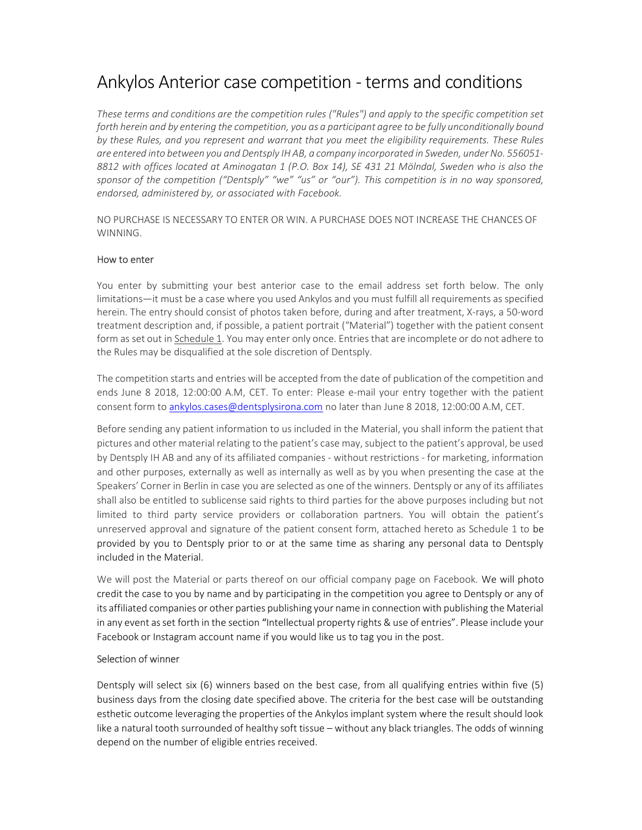# Ankylos Anterior case competition - terms and conditions

These terms and conditions are the competition rules ("Rules") and apply to the specific competition set forth herein and by entering the competition, you as a participant agree to be fully unconditionally bound by these Rules, and you represent and warrant that you meet the eligibility requirements. These Rules are entered into between you and Dentsply IH AB, a company incorporated in Sweden, under No. 556051- 8812 with offices located at Aminogatan 1 (P.O. Box 14), SE 431 21 Mölndal, Sweden who is also the sponsor of the competition ("Dentsply" "we" "us" or "our"). This competition is in no way sponsored, endorsed, administered by, or associated with Facebook.

NO PURCHASE IS NECESSARY TO ENTER OR WIN. A PURCHASE DOES NOT INCREASE THE CHANCES OF WINNING.

# How to enter

You enter by submitting your best anterior case to the email address set forth below. The only limitations—it must be a case where you used Ankylos and you must fulfill all requirements as specified herein. The entry should consist of photos taken before, during and after treatment, X-rays, a 50-word treatment description and, if possible, a patient portrait ("Material") together with the patient consent form as set out in Schedule 1. You may enter only once. Entries that are incomplete or do not adhere to the Rules may be disqualified at the sole discretion of Dentsply.

The competition starts and entries will be accepted from the date of publication of the competition and ends June 8 2018, 12:00:00 A.M, CET. To enter: Please e-mail your entry together with the patient consent form to ankylos.cases@dentsplysirona.com no later than June 8 2018, 12:00:00 A.M, CET.

Before sending any patient information to us included in the Material, you shall inform the patient that pictures and other material relating to the patient's case may, subject to the patient's approval, be used by Dentsply IH AB and any of its affiliated companies - without restrictions - for marketing, information and other purposes, externally as well as internally as well as by you when presenting the case at the Speakers' Corner in Berlin in case you are selected as one of the winners. Dentsply or any of its affiliates shall also be entitled to sublicense said rights to third parties for the above purposes including but not limited to third party service providers or collaboration partners. You will obtain the patient's unreserved approval and signature of the patient consent form, attached hereto as Schedule 1 to be provided by you to Dentsply prior to or at the same time as sharing any personal data to Dentsply included in the Material.

We will post the Material or parts thereof on our official company page on Facebook. We will photo credit the case to you by name and by participating in the competition you agree to Dentsply or any of its affiliated companies or other parties publishing your name in connection with publishing the Material in any event as set forth in the section "Intellectual property rights & use of entries". Please include your Facebook or Instagram account name if you would like us to tag you in the post.

# Selection of winner

Dentsply will select six (6) winners based on the best case, from all qualifying entries within five (5) business days from the closing date specified above. The criteria for the best case will be outstanding esthetic outcome leveraging the properties of the Ankylos implant system where the result should look like a natural tooth surrounded of healthy soft tissue – without any black triangles. The odds of winning depend on the number of eligible entries received.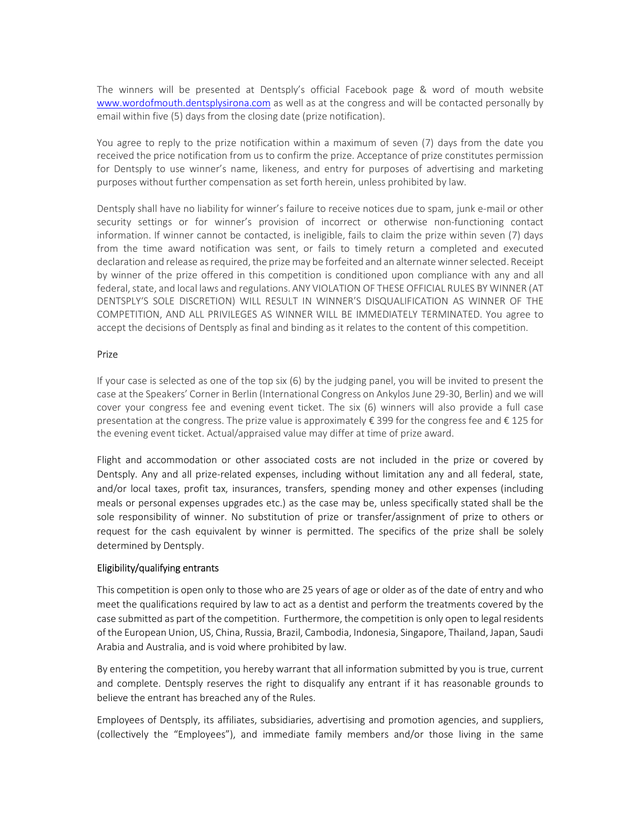The winners will be presented at Dentsply's official Facebook page & word of mouth website www.wordofmouth.dentsplysirona.com as well as at the congress and will be contacted personally by email within five (5) days from the closing date (prize notification).

You agree to reply to the prize notification within a maximum of seven (7) days from the date you received the price notification from us to confirm the prize. Acceptance of prize constitutes permission for Dentsply to use winner's name, likeness, and entry for purposes of advertising and marketing purposes without further compensation as set forth herein, unless prohibited by law.

Dentsply shall have no liability for winner's failure to receive notices due to spam, junk e-mail or other security settings or for winner's provision of incorrect or otherwise non-functioning contact information. If winner cannot be contacted, is ineligible, fails to claim the prize within seven (7) days from the time award notification was sent, or fails to timely return a completed and executed declaration and release as required, the prize may be forfeited and an alternate winner selected. Receipt by winner of the prize offered in this competition is conditioned upon compliance with any and all federal, state, and local laws and regulations. ANY VIOLATION OF THESE OFFICIAL RULES BY WINNER (AT DENTSPLY'S SOLE DISCRETION) WILL RESULT IN WINNER'S DISQUALIFICATION AS WINNER OF THE COMPETITION, AND ALL PRIVILEGES AS WINNER WILL BE IMMEDIATELY TERMINATED. You agree to accept the decisions of Dentsply as final and binding as it relates to the content of this competition.

# Prize

If your case is selected as one of the top six (6) by the judging panel, you will be invited to present the case at the Speakers' Corner in Berlin (International Congress on Ankylos June 29-30, Berlin) and we will cover your congress fee and evening event ticket. The six (6) winners will also provide a full case presentation at the congress. The prize value is approximately € 399 for the congress fee and € 125 for the evening event ticket. Actual/appraised value may differ at time of prize award.

Flight and accommodation or other associated costs are not included in the prize or covered by Dentsply. Any and all prize-related expenses, including without limitation any and all federal, state, and/or local taxes, profit tax, insurances, transfers, spending money and other expenses (including meals or personal expenses upgrades etc.) as the case may be, unless specifically stated shall be the sole responsibility of winner. No substitution of prize or transfer/assignment of prize to others or request for the cash equivalent by winner is permitted. The specifics of the prize shall be solely determined by Dentsply.

# Eligibility/qualifying entrants

This competition is open only to those who are 25 years of age or older as of the date of entry and who meet the qualifications required by law to act as a dentist and perform the treatments covered by the case submitted as part of the competition. Furthermore, the competition is only open to legal residents of the European Union, US, China, Russia, Brazil, Cambodia, Indonesia, Singapore, Thailand, Japan, Saudi Arabia and Australia, and is void where prohibited by law.

By entering the competition, you hereby warrant that all information submitted by you is true, current and complete. Dentsply reserves the right to disqualify any entrant if it has reasonable grounds to believe the entrant has breached any of the Rules.

Employees of Dentsply, its affiliates, subsidiaries, advertising and promotion agencies, and suppliers, (collectively the "Employees"), and immediate family members and/or those living in the same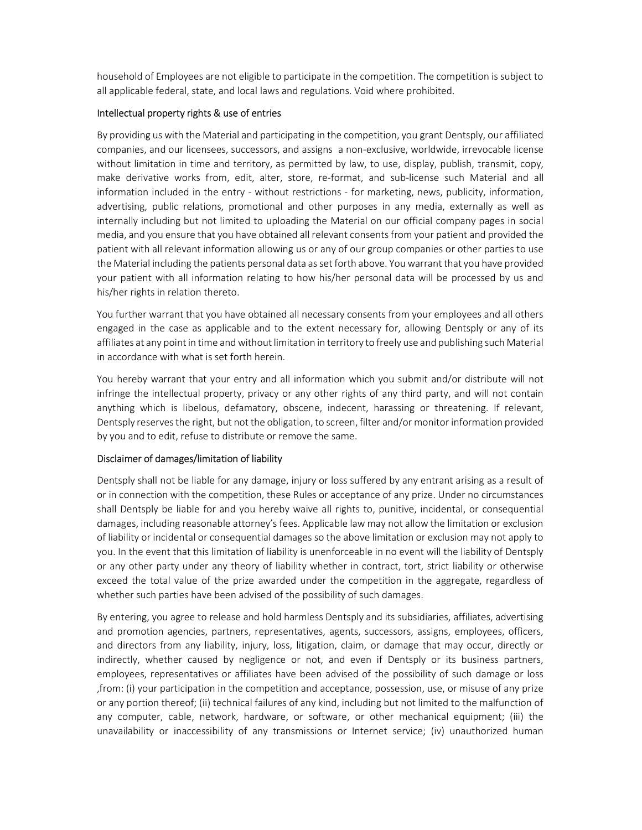household of Employees are not eligible to participate in the competition. The competition is subject to all applicable federal, state, and local laws and regulations. Void where prohibited.

# Intellectual property rights & use of entries

By providing us with the Material and participating in the competition, you grant Dentsply, our affiliated companies, and our licensees, successors, and assigns a non-exclusive, worldwide, irrevocable license without limitation in time and territory, as permitted by law, to use, display, publish, transmit, copy, make derivative works from, edit, alter, store, re-format, and sub-license such Material and all information included in the entry - without restrictions - for marketing, news, publicity, information, advertising, public relations, promotional and other purposes in any media, externally as well as internally including but not limited to uploading the Material on our official company pages in social media, and you ensure that you have obtained all relevant consents from your patient and provided the patient with all relevant information allowing us or any of our group companies or other parties to use the Material including the patients personal data as set forth above. You warrant that you have provided your patient with all information relating to how his/her personal data will be processed by us and his/her rights in relation thereto.

You further warrant that you have obtained all necessary consents from your employees and all others engaged in the case as applicable and to the extent necessary for, allowing Dentsply or any of its affiliates at any point in time and without limitation in territory to freely use and publishing such Material in accordance with what is set forth herein.

You hereby warrant that your entry and all information which you submit and/or distribute will not infringe the intellectual property, privacy or any other rights of any third party, and will not contain anything which is libelous, defamatory, obscene, indecent, harassing or threatening. If relevant, Dentsply reserves the right, but not the obligation, to screen, filter and/or monitor information provided by you and to edit, refuse to distribute or remove the same.

# Disclaimer of damages/limitation of liability

Dentsply shall not be liable for any damage, injury or loss suffered by any entrant arising as a result of or in connection with the competition, these Rules or acceptance of any prize. Under no circumstances shall Dentsply be liable for and you hereby waive all rights to, punitive, incidental, or consequential damages, including reasonable attorney's fees. Applicable law may not allow the limitation or exclusion of liability or incidental or consequential damages so the above limitation or exclusion may not apply to you. In the event that this limitation of liability is unenforceable in no event will the liability of Dentsply or any other party under any theory of liability whether in contract, tort, strict liability or otherwise exceed the total value of the prize awarded under the competition in the aggregate, regardless of whether such parties have been advised of the possibility of such damages.

By entering, you agree to release and hold harmless Dentsply and its subsidiaries, affiliates, advertising and promotion agencies, partners, representatives, agents, successors, assigns, employees, officers, and directors from any liability, injury, loss, litigation, claim, or damage that may occur, directly or indirectly, whether caused by negligence or not, and even if Dentsply or its business partners, employees, representatives or affiliates have been advised of the possibility of such damage or loss ,from: (i) your participation in the competition and acceptance, possession, use, or misuse of any prize or any portion thereof; (ii) technical failures of any kind, including but not limited to the malfunction of any computer, cable, network, hardware, or software, or other mechanical equipment; (iii) the unavailability or inaccessibility of any transmissions or Internet service; (iv) unauthorized human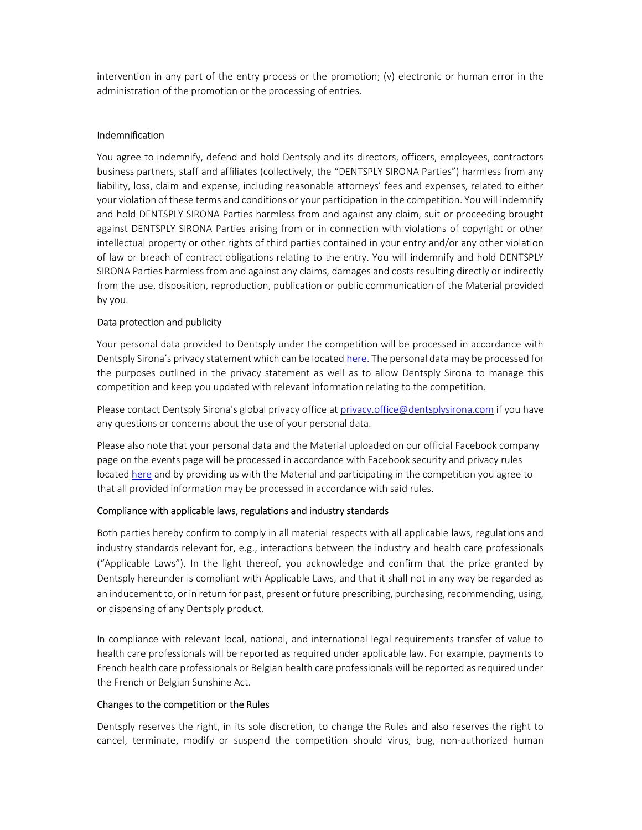intervention in any part of the entry process or the promotion; (v) electronic or human error in the administration of the promotion or the processing of entries.

#### Indemnification

You agree to indemnify, defend and hold Dentsply and its directors, officers, employees, contractors business partners, staff and affiliates (collectively, the "DENTSPLY SIRONA Parties") harmless from any liability, loss, claim and expense, including reasonable attorneys' fees and expenses, related to either your violation of these terms and conditions or your participation in the competition. You will indemnify and hold DENTSPLY SIRONA Parties harmless from and against any claim, suit or proceeding brought against DENTSPLY SIRONA Parties arising from or in connection with violations of copyright or other intellectual property or other rights of third parties contained in your entry and/or any other violation of law or breach of contract obligations relating to the entry. You will indemnify and hold DENTSPLY SIRONA Parties harmless from and against any claims, damages and costs resulting directly or indirectly from the use, disposition, reproduction, publication or public communication of the Material provided by you.

#### Data protection and publicity

Your personal data provided to Dentsply under the competition will be processed in accordance with Dentsply Sirona's privacy statement which can be located here. The personal data may be processed for the purposes outlined in the privacy statement as well as to allow Dentsply Sirona to manage this competition and keep you updated with relevant information relating to the competition.

Please contact Dentsply Sirona's global privacy office at privacy.office@dentsplysirona.com if you have any questions or concerns about the use of your personal data.

Please also note that your personal data and the Material uploaded on our official Facebook company page on the events page will be processed in accordance with Facebook security and privacy rules located here and by providing us with the Material and participating in the competition you agree to that all provided information may be processed in accordance with said rules.

#### Compliance with applicable laws, regulations and industry standards

Both parties hereby confirm to comply in all material respects with all applicable laws, regulations and industry standards relevant for, e.g., interactions between the industry and health care professionals ("Applicable Laws"). In the light thereof, you acknowledge and confirm that the prize granted by Dentsply hereunder is compliant with Applicable Laws, and that it shall not in any way be regarded as an inducement to, or in return for past, present or future prescribing, purchasing, recommending, using, or dispensing of any Dentsply product.

In compliance with relevant local, national, and international legal requirements transfer of value to health care professionals will be reported as required under applicable law. For example, payments to French health care professionals or Belgian health care professionals will be reported as required under the French or Belgian Sunshine Act.

#### Changes to the competition or the Rules

Dentsply reserves the right, in its sole discretion, to change the Rules and also reserves the right to cancel, terminate, modify or suspend the competition should virus, bug, non-authorized human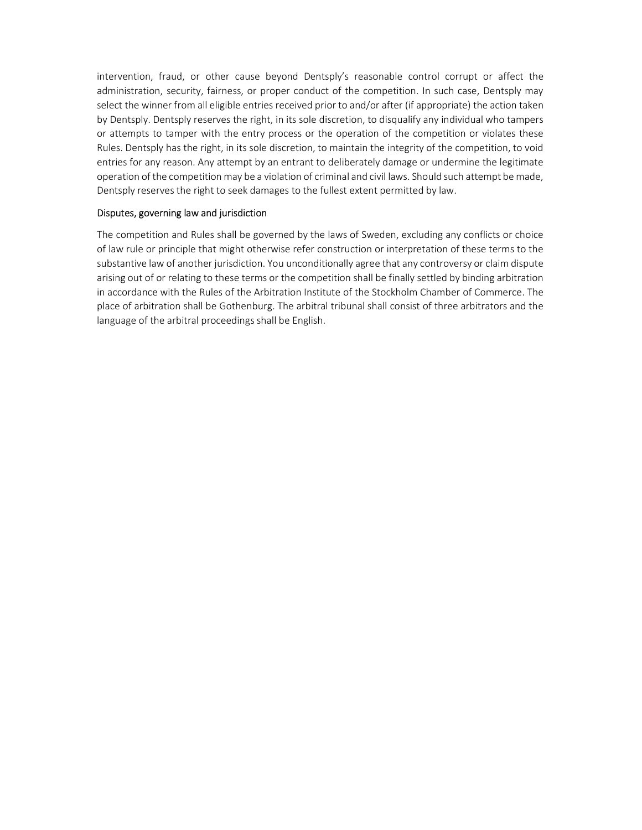intervention, fraud, or other cause beyond Dentsply's reasonable control corrupt or affect the administration, security, fairness, or proper conduct of the competition. In such case, Dentsply may select the winner from all eligible entries received prior to and/or after (if appropriate) the action taken by Dentsply. Dentsply reserves the right, in its sole discretion, to disqualify any individual who tampers or attempts to tamper with the entry process or the operation of the competition or violates these Rules. Dentsply has the right, in its sole discretion, to maintain the integrity of the competition, to void entries for any reason. Any attempt by an entrant to deliberately damage or undermine the legitimate operation of the competition may be a violation of criminal and civil laws. Should such attempt be made, Dentsply reserves the right to seek damages to the fullest extent permitted by law.

# Disputes, governing law and jurisdiction

The competition and Rules shall be governed by the laws of Sweden, excluding any conflicts or choice of law rule or principle that might otherwise refer construction or interpretation of these terms to the substantive law of another jurisdiction. You unconditionally agree that any controversy or claim dispute arising out of or relating to these terms or the competition shall be finally settled by binding arbitration in accordance with the Rules of the Arbitration Institute of the Stockholm Chamber of Commerce. The place of arbitration shall be Gothenburg. The arbitral tribunal shall consist of three arbitrators and the language of the arbitral proceedings shall be English.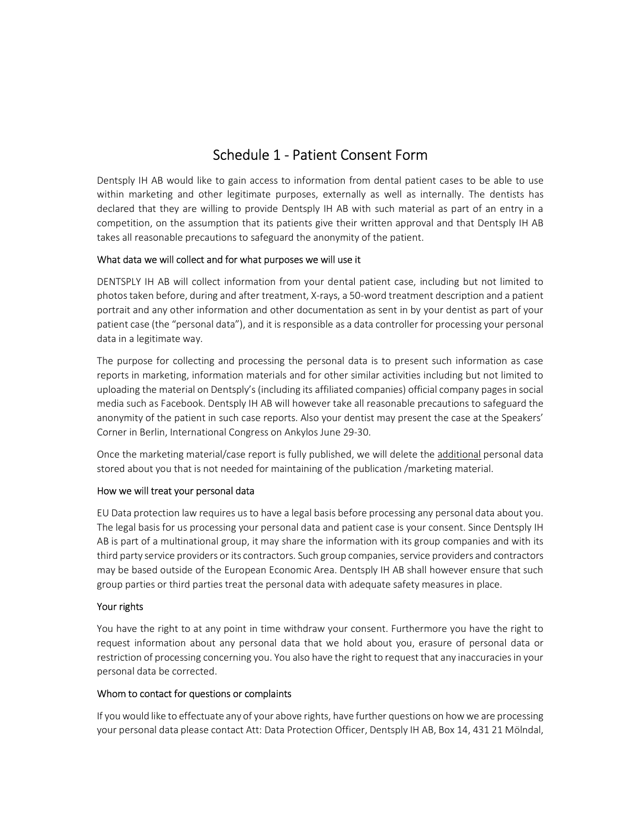# Schedule 1 - Patient Consent Form

Dentsply IH AB would like to gain access to information from dental patient cases to be able to use within marketing and other legitimate purposes, externally as well as internally. The dentists has declared that they are willing to provide Dentsply IH AB with such material as part of an entry in a competition, on the assumption that its patients give their written approval and that Dentsply IH AB takes all reasonable precautions to safeguard the anonymity of the patient.

# What data we will collect and for what purposes we will use it

DENTSPLY IH AB will collect information from your dental patient case, including but not limited to photos taken before, during and after treatment, X-rays, a 50-word treatment description and a patient portrait and any other information and other documentation as sent in by your dentist as part of your patient case (the "personal data"), and it is responsible as a data controller for processing your personal data in a legitimate way.

The purpose for collecting and processing the personal data is to present such information as case reports in marketing, information materials and for other similar activities including but not limited to uploading the material on Dentsply's (including its affiliated companies) official company pages in social media such as Facebook. Dentsply IH AB will however take all reasonable precautions to safeguard the anonymity of the patient in such case reports. Also your dentist may present the case at the Speakers' Corner in Berlin, International Congress on Ankylos June 29-30.

Once the marketing material/case report is fully published, we will delete the additional personal data stored about you that is not needed for maintaining of the publication /marketing material.

# How we will treat your personal data

EU Data protection law requires us to have a legal basis before processing any personal data about you. The legal basis for us processing your personal data and patient case is your consent. Since Dentsply IH AB is part of a multinational group, it may share the information with its group companies and with its third party service providers or its contractors. Such group companies, service providers and contractors may be based outside of the European Economic Area. Dentsply IH AB shall however ensure that such group parties or third parties treat the personal data with adequate safety measures in place.

# Your rights

You have the right to at any point in time withdraw your consent. Furthermore you have the right to request information about any personal data that we hold about you, erasure of personal data or restriction of processing concerning you. You also have the right to request that any inaccuracies in your personal data be corrected.

# Whom to contact for questions or complaints

If you would like to effectuate any of your above rights, have further questions on how we are processing your personal data please contact Att: Data Protection Officer, Dentsply IH AB, Box 14, 431 21 Mölndal,